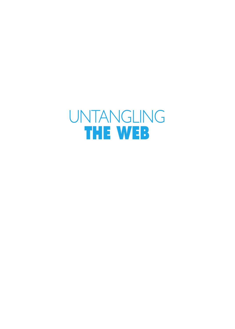# UNTANGLING **THE WEB**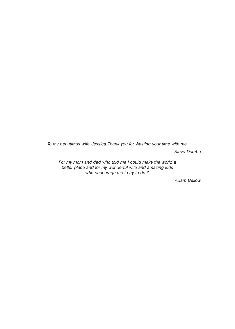*To my beautimus wife, Jessica. Thank you for Wasting your time with me.*

*Steve Dembo*

*For my mom and dad who told me I could make the world a better place and for my wonderful wife and amazing kids who encourage me to try to do it.*

*Adam Bellow*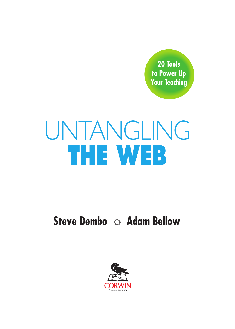

# UNTANGLING **THE WEB**

### **Steve Dembo**  $\circ$  **Adam Bellow**

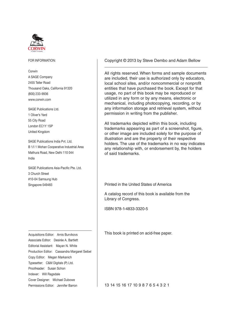

#### FOR INFORMATION:

Corwin A SAGE Company 2455 Teller Road Thousand Oaks, California 91320 (800) 233-9936 www.corwin.com

SAGE Publications Ltd. 1 Oliver's Yard 55 City Road London EC1Y 1SP United Kingdom

SAGE Publications India Pvt. Ltd. B 1/I 1 Mohan Cooperative Industrial Area Mathura Road, New Delhi 110 044 India

SAGE Publications Asia-Pacific Pte. Ltd. 3 Church Street #10-04 Samsung Hub Singapore 049483

Acquisitions Editor: Arnis Burvikovs Associate Editor: Desirée A. Bartlett Editorial Assistant: Mayan N. White Production Editor: Cassandra Margaret Seibel Copy Editor: Megan Markanich Typesetter: C&M Digitals (P) Ltd. Proofreader: Susan Schon Indexer: Will Ragsdale Cover Designer: Michael Dubowe Permissions Editor: Jennifer Barron

#### Copyright © 2013 by Steve Dembo and Adam Bellow

All rights reserved. When forms and sample documents are included, their use is authorized only by educators, local school sites, and/or noncommercial or nonprofit entities that have purchased the book. Except for that usage, no part of this book may be reproduced or utilized in any form or by any means, electronic or mechanical, including photocopying, recording, or by any information storage and retrieval system, without permission in writing from the publisher.

All trademarks depicted within this book, including trademarks appearing as part of a screenshot, figure, or other image are included solely for the purpose of illustration and are the property of their respective holders. The use of the trademarks in no way indicates any relationship with, or endorsement by, the holders of said trademarks.

Printed in the United States of America

A catalog record of this book is available from the Library of Congress.

ISBN 978-1-4833-3320-5

This book is printed on acid-free paper.

13 14 15 16 17 10 9 8 7 6 5 4 3 2 1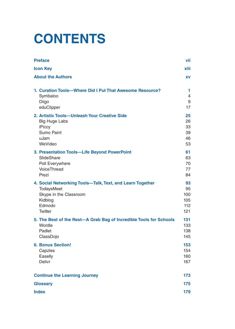# **CONTENTS**

| <b>Preface</b>                                                     | vii       |
|--------------------------------------------------------------------|-----------|
| <b>Icon Key</b>                                                    | xiii      |
| <b>About the Authors</b>                                           | <b>XV</b> |
| 1. Curation Tools-Where Did I Put That Awesome Resource?           | 1         |
| Symbaloo                                                           | 4         |
| Diigo                                                              | 9         |
| eduClipper                                                         | 17        |
| 2. Artistic Tools-Unleash Your Creative Side                       | 25        |
| <b>Big Huge Labs</b>                                               | 26        |
| iPiccy                                                             | 33        |
| Sumo Paint                                                         | 39        |
| uJam                                                               | 46        |
| WeVideo                                                            | 53        |
| 3. Presentation Tools-Life Beyond PowerPoint                       | 61        |
| SlideShare                                                         | 63        |
| Poll Everywhere                                                    | 70        |
| VoiceThread                                                        | 77        |
| Prezi                                                              | 84        |
| 4. Social Networking Tools-Talk, Text, and Learn Together          | 93        |
| <b>TodaysMeet</b>                                                  | 95        |
| Skype in the Classroom                                             | 100       |
| Kidblog                                                            | 105       |
| Edmodo                                                             | 112       |
| Twitter                                                            | 121       |
| 5. The Best of the Rest-A Grab Bag of Incredible Tools for Schools | 131       |
| Wordle                                                             | 133       |
| Padlet                                                             | 138       |
| ClassDojo                                                          | 145       |
| <b>6. Bonus Section!</b>                                           | 153       |
| Capzles                                                            | 154       |
| Easelly                                                            | 160       |
| Delivr                                                             | 167       |
| <b>Continue the Learning Journey</b>                               | 173       |
| <b>Glossary</b>                                                    | 175       |
| <b>Index</b>                                                       | 179       |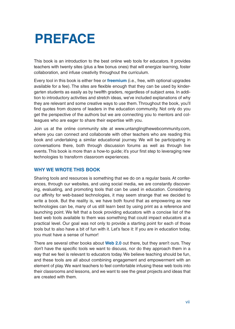

This book is an introduction to the best online web tools for educators. It provides teachers with twenty sites (plus a few bonus ones) that will energize learning, foster collaboration, and infuse creativity throughout the curriculum.

Every tool in this book is either free or **freemium** (i.e., free, with optional upgrades available for a fee). The sites are flexible enough that they can be used by kindergarten students as easily as by twelfth graders, regardless of subject area. In addition to introductory activities and stretch ideas, we've included explanations of why they are relevant and some creative ways to use them. Throughout the book, you'll find quotes from dozens of leaders in the education community. Not only do you get the perspective of the authors but we are connecting you to mentors and colleagues who are eager to share their expertise with you.

Join us at the online community site at www.untanglingthewebcommunity.com, where you can connect and collaborate with other teachers who are reading this book and undertaking a similar educational journey. We will be participating in conversations there, both through discussion forums as well as through live events. This book is more than a how-to guide; it's your first step to leveraging new technologies to transform classroom experiences.

#### **WHY WE WROTE THIS BOOK**

Sharing tools and resources is something that we do on a regular basis. At conferences, through our websites, and using social media, we are constantly discovering, evaluating, and promoting tools that can be used in education. Considering our affinity for web-based technologies, it may seem strange that we decided to write a book. But the reality is, we have both found that as empowering as new technologies can be, many of us still learn best by using print as a reference and launching point. We felt that a book providing educators with a concise list of the best web tools available to them was something that could impact educators at a practical level. Our goal was not only to provide a starting point for each of those tools but to also have a bit of fun with it. Let's face it: If you are in education today, you must have a sense of humor!

There are several other books about **Web 2.0** out there, but they aren't ours. They don't have the specific tools we want to discuss, nor do they approach them in a way that we feel is relevant to educators today. We believe teaching should be fun, and these tools are all about combining engagement and empowerment with an element of play. We want teachers to feel comfortable infusing these web tools into their classrooms and lessons, and we want to see the great projects and ideas that are created with them.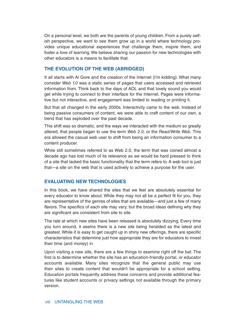On a personal level, we both are the parents of young children. From a purely selfish perspective, we want to see them grow up in a world where technology provides unique educational experiences that challenge them, inspire them, and foster a love of learning. We believe sharing our passion for new technologies with other educators is a means to facilitate that.

#### **THE EVOLUTION OF THE WEB (ABRIDGED)**

It all starts with Al Gore and the creation of the Internet (I'm kidding). What many consider *Web 1.0* was a static series of pages that users accessed and retrieved information from. Think back to the days of AOL and that lovely sound you would get while trying to connect to their interface for the Internet. Pages were informative but not interactive, and engagement was limited to reading or printing it.

But that all changed in the early 2000s. Interactivity came to the web. Instead of being passive consumers of content, we were able to craft content of our own, a trend that has exploded over the past decade.

This shift was so dramatic, and the ways we interacted with the medium so greatly altered, that people began to use the term *Web 2.0,* or the *Read/Write Web.* This era allowed the casual web user to shift from being an information consumer to a content producer.

While still sometimes referred to as Web 2.0, the term that was coined almost a decade ago has lost much of its relevance as we would be hard pressed to think of a site that lacked the basic functionality that the term refers to. A web tool is just that—a site on the web that is used actively to achieve a purpose for the user.

#### **EVALUATING NEW TECHNOLOGIES**

In this book, we have shared the sites that we feel are absolutely essential for every educator to know about. While they may not all be a perfect fit for you, they are representative of the genres of sites that are available—and just a few of many flavors. The specifics of each site may vary, but the broad ideas defining why they are significant are consistent from site to site.

The rate at which new sites have been released is absolutely dizzying. Every time you turn around, it seems there is a new site being heralded as the latest and greatest. While it is easy to get caught up in shiny new offerings, there are specific characteristics that determine just how appropriate they are for educators to invest their time (and money) in.

Upon visiting a new site, there are a few things to examine right off the bat. The first is to determine whether the site has an education-friendly portal, or educator accounts available. Many sites recognize that the general public may use their sites to create content that wouldn't be appropriate for a school setting. Education portals frequently address these concerns and provide additional features like student accounts or privacy settings not available through the primary version.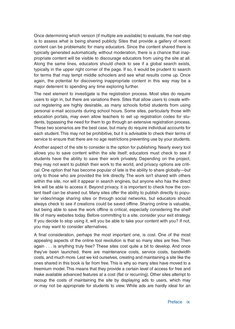Once determining which version (if multiple are available) to evaluate, the next step is to assess what is being shared publicly. Sites that provide a gallery of recent content can be problematic for many educators. Since the content shared there is typically generated automatically, without moderation, there is a chance that inappropriate content will be visible to discourage educators from using the site at all. Along the same lines, educators should check to see if a global search exists, typically in the upper right corner of the page. If so, it would be prudent to search for terms that may tempt middle schoolers and see what results come up. Once again, the potential for discovering inappropriate content in this way may be a major deterrent to spending any time exploring further.

The next element to investigate is the registration process. Most sites do require users to sign in, but there are variations there. Sites that allow users to create without registering are highly desirable, as many schools forbid students from using personal e-mail accounts during school hours. Some sites, particularly those with education portals, may even allow teachers to set up registration codes for students, bypassing the need for them to go through an extensive registration process. These two scenarios are the best case, but many do require individual accounts for each student. This may not be prohibitive, but it is advisable to check their terms of service to ensure that there are no age restrictions preventing use by your students.

Another aspect of the site to consider is the option for publishing. Nearly every tool allows you to save content within the site itself; educators must check to see if students have the ability to save their work privately. Depending on the project, they may not want to publish their work to the world, and privacy options are critical. One option that has become popular of late is the ability to share globally—but only to those who are provided the link directly. The work isn't shared with others within the site, nor will it appear in search engines, but anyone who has the direct link will be able to access it. Beyond privacy, it is important to check how the content itself can be shared out. Many sites offer the ability to publish directly to popular video/image sharing sites or through social networks, but educators should always check to see if creations could be saved offline. Sharing online is valuable, but being able to save the work offline is critical, especially considering the shelf life of many websites today. Before committing to a site, consider your exit strategy. If you decide to stop using it, will you be able to take your content with you? If not, you may want to consider alternatives.

A final consideration, perhaps the most important one, is cost. One of the most appealing aspects of the online tool revolution is that so many sites are free. Then again . . . is anything truly free? These sites cost quite a bit to develop. And once they've been launched, there are maintenance costs, service costs, bandwidth costs, and much more. Lest we kid ourselves, creating and maintaining a site like the ones shared in this book is far from free. This is why so many sites have moved to a freemium model. This means that they provide a certain level of access for free and make available advanced features at a cost (flat or recurring). Other sites attempt to recoup the costs of maintaining the site by displaying ads to users, which may or may not be appropriate for students to view. While ads are hardly ideal for an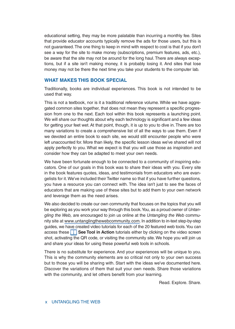educational setting, they may be more palatable than incurring a monthly fee. Sites that provide educator accounts typically remove the ads for those users, but this is not guaranteed. The one thing to keep in mind with respect to cost is that if you don't see a way for the site to make money (subscriptions, premium features, ads, etc.), be aware that the site may not be around for the long haul. There are always exceptions, but if a site isn't making money, it is probably losing it. And sites that lose money may not be there the next time you take your students to the computer lab.

#### **WHAT MAKES THIS BOOK SPECIAL**

Traditionally, books are individual experiences. This book is not intended to be used that way.

This is not a textbook, nor is it a traditional reference volume. While we have aggregated common sites together, that does not mean they represent a specific progression from one to the next. Each tool within this book represents a launching point. We will share our thoughts about why each technology is significant and a few ideas for getting your feet wet. At that point, though, it is up to you to dive in. There are too many variations to create a comprehensive list of all the ways to use them. Even if we devoted an entire book to each site, we would still encounter people who were left unaccounted for. More than likely, the specific lesson ideas we've shared will not apply perfectly to you. What we expect is that you will use those as inspiration and consider how they can be adapted to meet your own needs.

We have been fortunate enough to be connected to a community of inspiring educators. One of our goals in this book was to share their ideas with you. Every site in the book features quotes, ideas, and testimonials from educators who are evangelists for it. We've included their Twitter name so that if you have further questions, you have a resource you can connect with. The idea isn't just to see the faces of educators that are making use of these sites but to add them to your own network and leverage them as the need arises.

We also decided to create our own community that focuses on the topics that you will be exploring as you work your way through this book. You, as a proud owner of *Untangling the Web,* are encouraged to join us online at the *Untangling the Web* community site at www.untanglingthewebcommunity.com. In addition to in-text step-by-step guides, we have created video tutorials for each of the 20 featured web tools. You can access these **See Tool in Action** tutorials either by clicking on the video screen shot, activating the QR code, or visiting the community site. We hope you will join us and share your ideas for using these powerful web tools in schools.

There is no substitute for experience. And your experiences will be unique to you. This is why the community elements are so critical not only to your own success but to those you will be sharing with. Start with the ideas we've documented here. Discover the variations of them that suit your own needs. Share those variations with the community, and let others benefit from your learning.

Read. Explore. Share.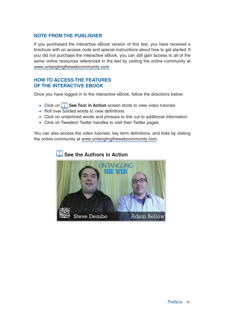#### **NOTE FROM THE PUBLISHER**

If you purchased the interactive eBook version of this text, you have received a brochure with an access code and special instructions about how to get started. If you did not purchase the interactive eBook, you can still gain access to all of the same online resources referenced in the text by visiting the online community at www.untanglingthewebcommunity.com.

#### **HOW TO ACCESS THE FEATURES OF THE INTERACTIVE EBOOK**

Once you have logged in to the interactive eBook, follow the directions below:

- Click on **See Tool in Action** screen shots to view video tutorials
- Roll over bolded words to view definitions
- Click on underlined words and phrases to link out to additional information
- Click on Tweeters' Twitter handles to visit their Twitter pages

You can also access the video tutorials, key term definitions, and links by visiting the online community at www.untanglingthewebcommunity.com.

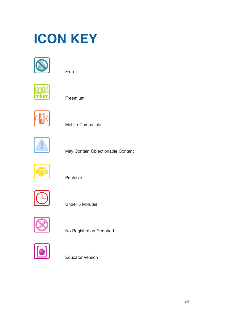



Free



Freemium



Mobile Compatible



May Contain Objectionable Content



Printable



Under 5 Minutes



No Registration Required



Educator Version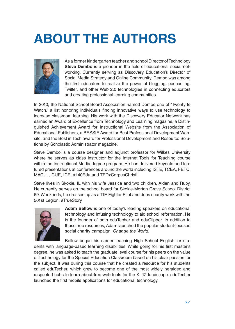# **ABOUT THE AUTHORS**



As a former kindergarten teacher and school Director of Technology **Steve Dembo** is a pioneer in the field of educational social networking. Currently serving as Discovery Education's Director of Social Media Strategy and Online Community, Dembo was among the first educators to realize the power of blogging, podcasting, Twitter, and other Web 2.0 technologies in connecting educators and creating professional learning communities.

In 2010, the National School Board Association named Dembo one of "Twenty to Watch," a list honoring individuals finding innovative ways to use technology to increase classroom learning. His work with the Discovery Educator Network has earned an Award of Excellence from Technology and Learning magazine, a Distinguished Achievement Award for Instructional Website from the Association of Educational Publishers, a BESSIE Award for Best Professional Development Website, and the Best in Tech award for Professional Development and Resource Solutions by Scholastic Administrator magazine.

Steve Dembo is a course designer and adjunct professor for Wilkes University where he serves as class instructor for the Internet Tools for Teaching course within the Instructional Media degree program. He has delivered keynote and featured presentations at conferences around the world including ISTE, TCEA, FETC, MACUL, CUE, ICE, #140Edu and TEDxCorpusChristi.

Steve lives in Skokie, IL with his wife Jessica and two children, Aiden and Ruby. He currently serves on the school board for Skokie-Morton Grove School District 69. Weekends, he dresses up as a TIE Fighter Pilot and does charity work with the 501st Legion. #TrueStory



**Adam Bellow** is one of today's leading speakers on educational technology and infusing technology to aid school reformation. He is the founder of both eduTecher and eduClipper. In addition to these free resources, Adam launched the popular student-focused social charity campaign, *Change the World.*

Bellow began his career teaching High School English for students with language-based learning disabilities. While going for his first master's degree, he was asked to teach the graduate level course for his peers on the value of Technology for the Special Education Classroom based on his clear passion for the subject. It was during this course that he created a resource for his students called eduTecher, which grew to become one of the most widely heralded and respected hubs to learn about free web tools for the K–12 landscape. eduTecher launched the first mobile applications for educational technology.